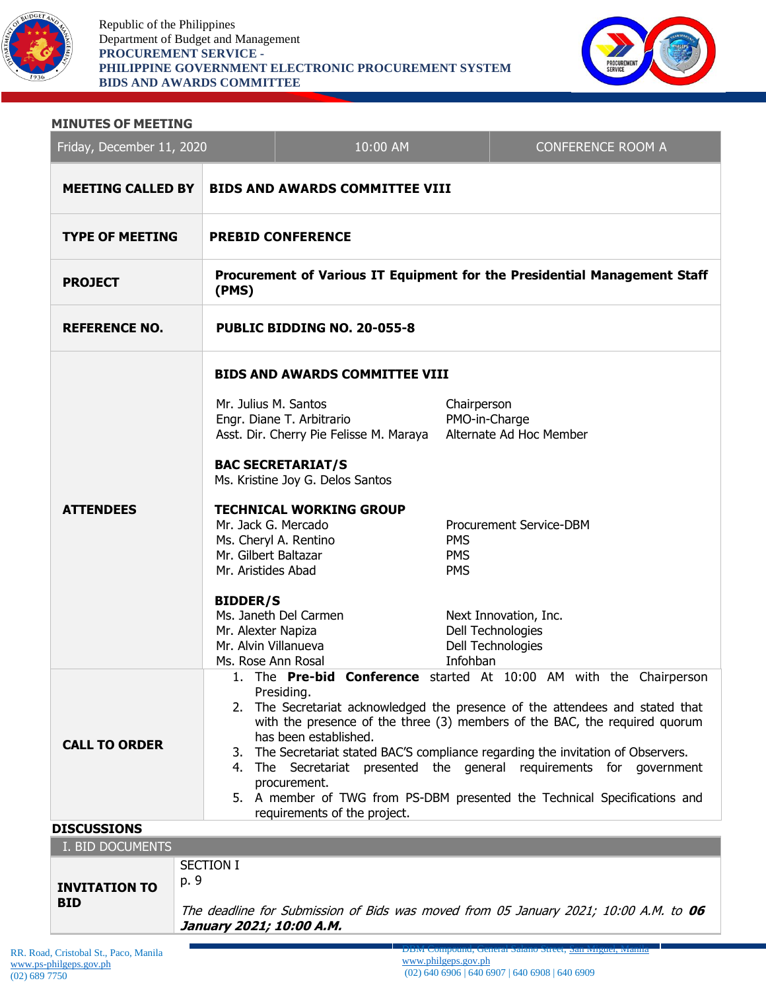

Republic of the Philippines Department of Budget and Management **PROCUREMENT SERVICE - PHILIPPINE GOVERNMENT ELECTRONIC PROCUREMENT SYSTEM BIDS AND AWARDS COMMITTEE**



#### **MINUTES OF MEETING**

| Friday, December 11, 2020                  |                                                                                                                                                                                                                                                                                                                                                                                                                                                                                                                                                                       | 10:00 AM                                |                                        | <b>CONFERENCE ROOM A</b>                                        |  |
|--------------------------------------------|-----------------------------------------------------------------------------------------------------------------------------------------------------------------------------------------------------------------------------------------------------------------------------------------------------------------------------------------------------------------------------------------------------------------------------------------------------------------------------------------------------------------------------------------------------------------------|-----------------------------------------|----------------------------------------|-----------------------------------------------------------------|--|
| <b>MEETING CALLED BY</b>                   | <b>BIDS AND AWARDS COMMITTEE VIII</b>                                                                                                                                                                                                                                                                                                                                                                                                                                                                                                                                 |                                         |                                        |                                                                 |  |
| <b>TYPE OF MEETING</b>                     | <b>PREBID CONFERENCE</b>                                                                                                                                                                                                                                                                                                                                                                                                                                                                                                                                              |                                         |                                        |                                                                 |  |
| <b>PROJECT</b>                             | Procurement of Various IT Equipment for the Presidential Management Staff<br>(PMS)                                                                                                                                                                                                                                                                                                                                                                                                                                                                                    |                                         |                                        |                                                                 |  |
| <b>REFERENCE NO.</b>                       | PUBLIC BIDDING NO. 20-055-8                                                                                                                                                                                                                                                                                                                                                                                                                                                                                                                                           |                                         |                                        |                                                                 |  |
|                                            | <b>BIDS AND AWARDS COMMITTEE VIII</b>                                                                                                                                                                                                                                                                                                                                                                                                                                                                                                                                 |                                         |                                        |                                                                 |  |
| <b>ATTENDEES</b>                           | Mr. Julius M. Santos<br>Engr. Diane T. Arbitrario<br><b>BAC SECRETARIAT/S</b><br>Ms. Kristine Joy G. Delos Santos                                                                                                                                                                                                                                                                                                                                                                                                                                                     | Asst. Dir. Cherry Pie Felisse M. Maraya | Chairperson<br>PMO-in-Charge           | Alternate Ad Hoc Member                                         |  |
|                                            | <b>TECHNICAL WORKING GROUP</b><br>Mr. Jack G. Mercado<br>Ms. Cheryl A. Rentino<br>Mr. Gilbert Baltazar<br>Mr. Aristides Abad                                                                                                                                                                                                                                                                                                                                                                                                                                          |                                         | <b>PMS</b><br><b>PMS</b><br><b>PMS</b> | Procurement Service-DBM                                         |  |
|                                            | <b>BIDDER/S</b><br>Ms. Janeth Del Carmen<br>Mr. Alexter Napiza<br>Mr. Alvin Villanueva<br>Ms. Rose Ann Rosal                                                                                                                                                                                                                                                                                                                                                                                                                                                          |                                         | Infohban                               | Next Innovation, Inc.<br>Dell Technologies<br>Dell Technologies |  |
| <b>CALL TO ORDER</b><br><b>DISCUSSIONS</b> | 1. The Pre-bid Conference started At 10:00 AM with the Chairperson<br>Presiding.<br>2. The Secretariat acknowledged the presence of the attendees and stated that<br>with the presence of the three (3) members of the BAC, the required quorum<br>has been established.<br>The Secretariat stated BAC'S compliance regarding the invitation of Observers.<br>3.<br>4. The Secretariat presented the general requirements for government<br>procurement.<br>5. A member of TWG from PS-DBM presented the Technical Specifications and<br>requirements of the project. |                                         |                                        |                                                                 |  |

| I. BID DOCUMENTS                   |                                                                                                                                       |
|------------------------------------|---------------------------------------------------------------------------------------------------------------------------------------|
| <b>INVITATION TO</b><br><b>BID</b> | SECTION I<br>p. 9<br>The deadline for Submission of Bids was moved from 05 January 2021; 10:00 A.M. to 06<br>January 2021; 10:00 A.M. |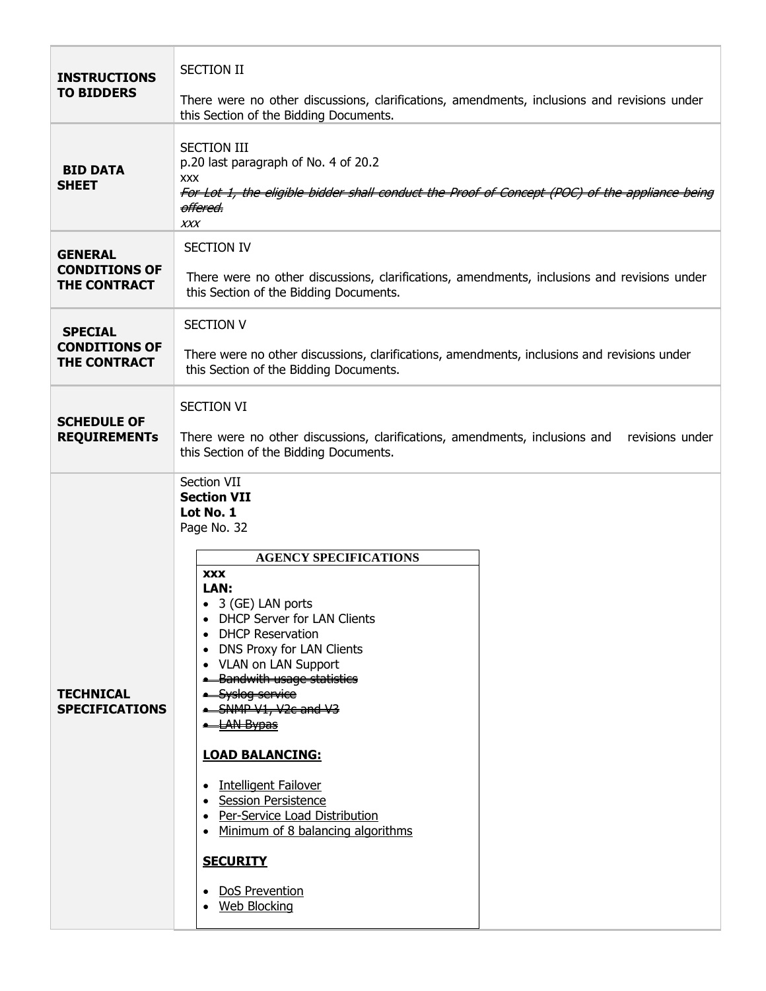| <b>INSTRUCTIONS</b><br><b>TO BIDDERS</b>                      | <b>SECTION II</b><br>There were no other discussions, clarifications, amendments, inclusions and revisions under<br>this Section of the Bidding Documents.                                                                                                                                                                                                                                                                                                                                                                                                                            |  |  |  |  |
|---------------------------------------------------------------|---------------------------------------------------------------------------------------------------------------------------------------------------------------------------------------------------------------------------------------------------------------------------------------------------------------------------------------------------------------------------------------------------------------------------------------------------------------------------------------------------------------------------------------------------------------------------------------|--|--|--|--|
| <b>BID DATA</b><br><b>SHEET</b>                               | <b>SECTION III</b><br>p.20 last paragraph of No. 4 of 20.2<br><b>XXX</b><br>For Lot 1, the eligible bidder shall conduct the Proof of Concept (POC) of the appliance being<br><del>offered.</del><br>XXX                                                                                                                                                                                                                                                                                                                                                                              |  |  |  |  |
| <b>GENERAL</b><br><b>CONDITIONS OF</b><br>THE CONTRACT        | <b>SECTION IV</b><br>There were no other discussions, clarifications, amendments, inclusions and revisions under<br>this Section of the Bidding Documents.                                                                                                                                                                                                                                                                                                                                                                                                                            |  |  |  |  |
| <b>SPECIAL</b><br><b>CONDITIONS OF</b><br><b>THE CONTRACT</b> | <b>SECTION V</b><br>There were no other discussions, clarifications, amendments, inclusions and revisions under<br>this Section of the Bidding Documents.                                                                                                                                                                                                                                                                                                                                                                                                                             |  |  |  |  |
| <b>SCHEDULE OF</b><br><b>REQUIREMENTS</b>                     | <b>SECTION VI</b><br>There were no other discussions, clarifications, amendments, inclusions and<br>revisions under<br>this Section of the Bidding Documents.                                                                                                                                                                                                                                                                                                                                                                                                                         |  |  |  |  |
| <b>TECHNICAL</b><br><b>SPECIFICATIONS</b>                     | Section VII<br><b>Section VII</b><br>Lot No. 1<br>Page No. 32<br><b>AGENCY SPECIFICATIONS</b><br><b>XXX</b><br>LAN:<br>• 3 (GE) LAN ports<br><b>DHCP Server for LAN Clients</b><br>• DHCP Reservation<br>• DNS Proxy for LAN Clients<br>• VLAN on LAN Support<br><b>.</b> Bandwith usage statistics<br>Syslog service<br>SNMP V1, V2c and V3<br><b>- LAN Bypas</b><br><b>LOAD BALANCING:</b><br><b>Intelligent Failover</b><br>• Session Persistence<br>• Per-Service Load Distribution<br>• Minimum of 8 balancing algorithms<br><b>SECURITY</b><br>DoS Prevention<br>• Web Blocking |  |  |  |  |

г

 $\overline{\phantom{a}}$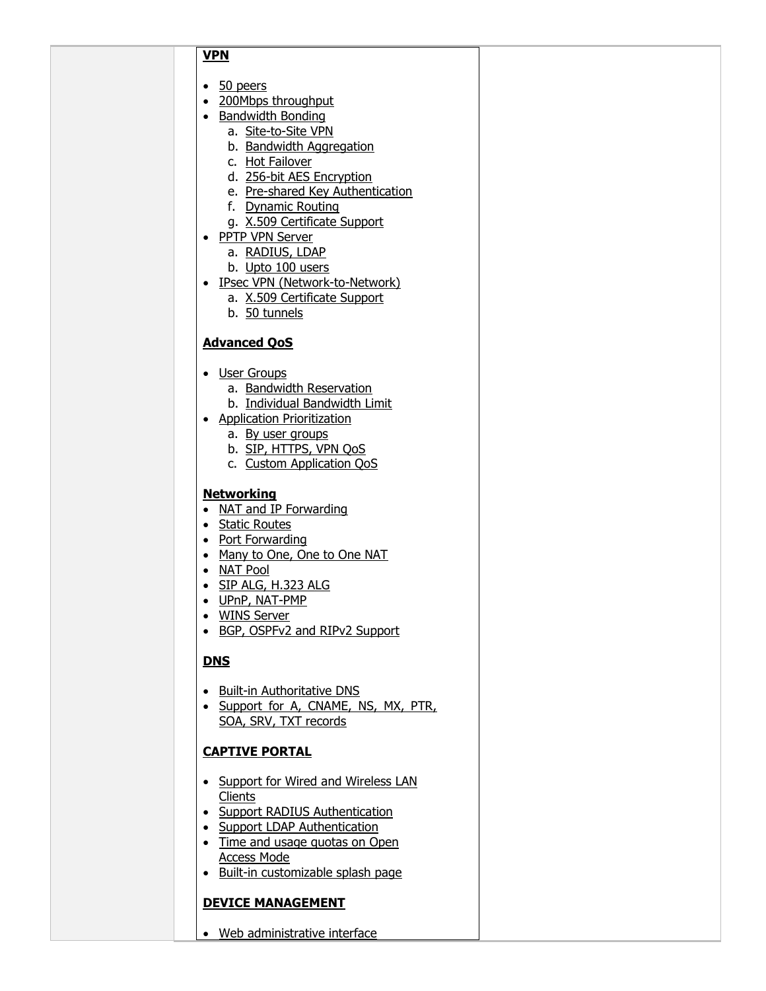### **VPN**

- 50 peers
- 200Mbps throughput
- Bandwidth Bonding
	- a. Site-to-Site VPN
	- b. Bandwidth Aggregation
	- c. Hot Failover
	- d. 256-bit AES Encryption
	- e. Pre-shared Key Authentication
	- f. Dynamic Routing
	- g. X.509 Certificate Support
- PPTP VPN Server
	- a. RADIUS, LDAP
	- b. Upto 100 users
- IPsec VPN (Network-to-Network)
	- a. X.509 Certificate Support
	- b. 50 tunnels

### **Advanced QoS**

- User Groups
	- a. Bandwidth Reservation
	- b. Individual Bandwidth Limit
- Application Prioritization
	- a. By user groups
	- b. SIP, HTTPS, VPN QoS
	- c. Custom Application QoS

### **Networking**

- NAT and IP Forwarding
- Static Routes
- Port Forwarding
- Many to One, One to One NAT
- NAT Pool
- SIP ALG, H.323 ALG
- UPnP, NAT-PMP
- WINS Server
- BGP, OSPFv2 and RIPv2 Support

# **DNS**

- Built-in Authoritative DNS
- Support for A, CNAME, NS, MX, PTR, SOA, SRV, TXT records

# **CAPTIVE PORTAL**

- Support for Wired and Wireless LAN **Clients**
- Support RADIUS Authentication
- Support LDAP Authentication
- Time and usage quotas on Open Access Mode
- Built-in customizable splash page

# **DEVICE MANAGEMENT**

Web administrative interface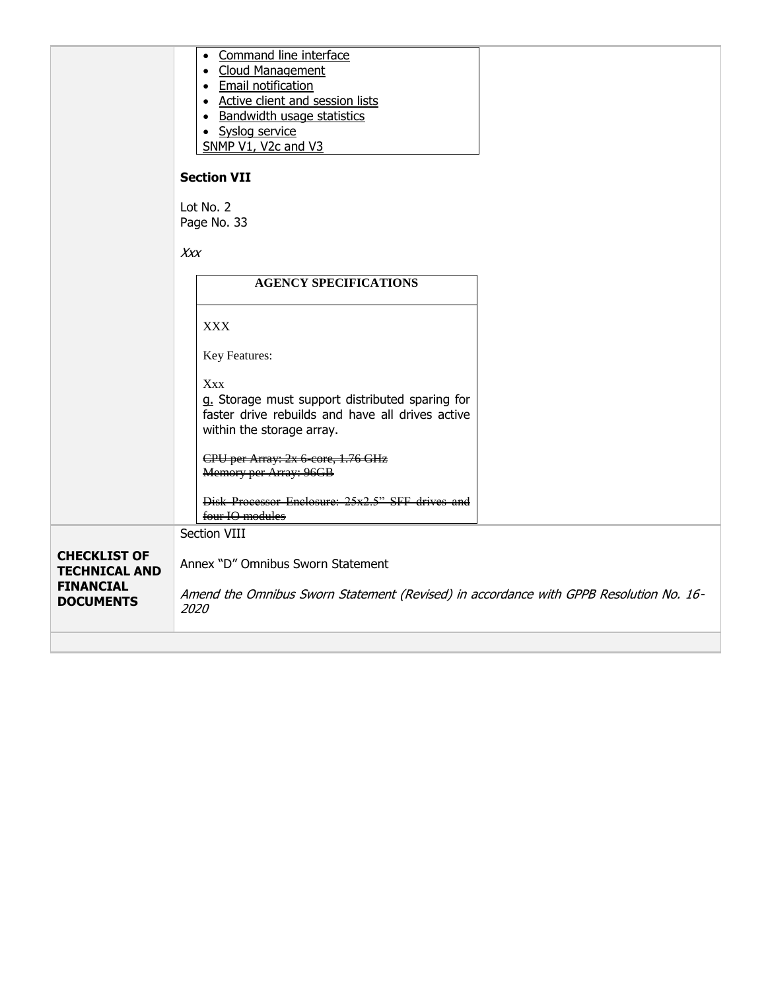|                                                                                     | • Command line interface<br>• Cloud Management<br>• Email notification<br>• Active client and session lists<br>• Bandwidth usage statistics<br>· Syslog service<br>SNMP V1, V2c and V3 |  |  |
|-------------------------------------------------------------------------------------|----------------------------------------------------------------------------------------------------------------------------------------------------------------------------------------|--|--|
|                                                                                     | <b>Section VII</b>                                                                                                                                                                     |  |  |
|                                                                                     | Lot No. 2<br>Page No. 33                                                                                                                                                               |  |  |
|                                                                                     | Xxx                                                                                                                                                                                    |  |  |
|                                                                                     | <b>AGENCY SPECIFICATIONS</b>                                                                                                                                                           |  |  |
|                                                                                     | <b>XXX</b>                                                                                                                                                                             |  |  |
|                                                                                     | Key Features:                                                                                                                                                                          |  |  |
|                                                                                     | <b>Xxx</b><br>g. Storage must support distributed sparing for<br>faster drive rebuilds and have all drives active<br>within the storage array.                                         |  |  |
|                                                                                     | CPU per Array: 2x 6-core, 1.76 GHz<br>Memory per Array: 96GB                                                                                                                           |  |  |
|                                                                                     | Disk Processor Enclosure: 25x2.5" SFF drives and<br>four IO modules                                                                                                                    |  |  |
|                                                                                     | Section VIII                                                                                                                                                                           |  |  |
| <b>CHECKLIST OF</b><br><b>TECHNICAL AND</b><br><b>FINANCIAL</b><br><b>DOCUMENTS</b> | Annex "D" Omnibus Sworn Statement<br>Amend the Omnibus Sworn Statement (Revised) in accordance with GPPB Resolution No. 16-<br>2020                                                    |  |  |
|                                                                                     |                                                                                                                                                                                        |  |  |